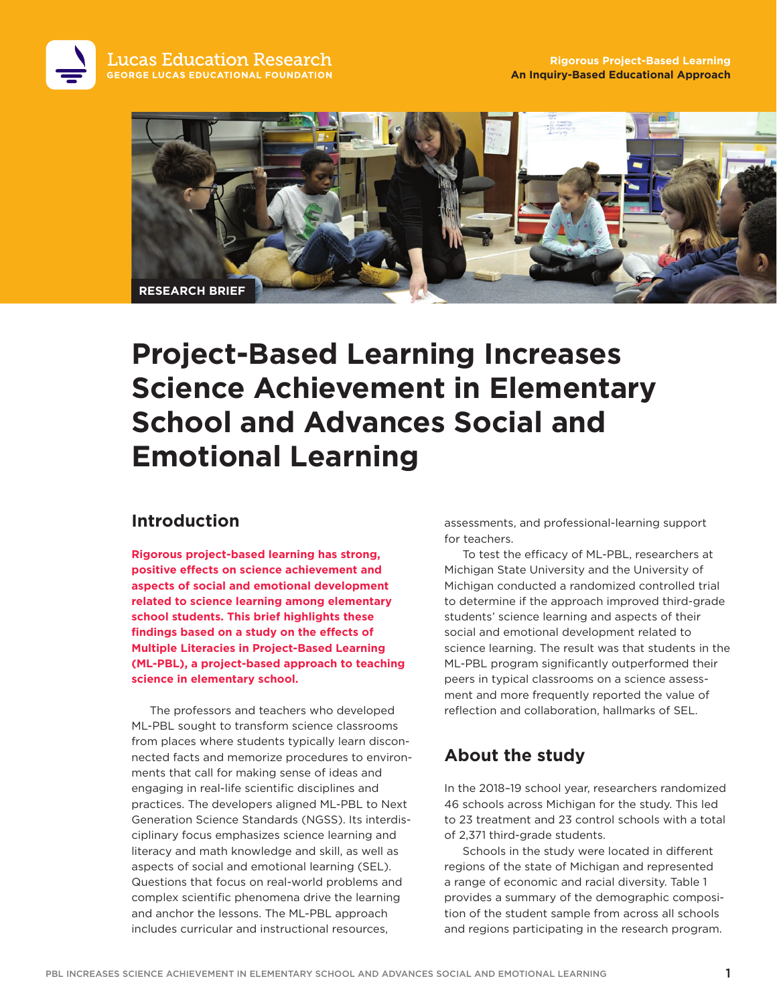

# **Project-Based Learning Increases Science Achievement in Elementary School and Advances Social and Emotional Learning**

# **Introduction**

**Rigorous project-based learning has strong, positive effects on science achievement and aspects of social and emotional development related to science learning among elementary school students. This brief highlights these findings based on a study on the effects of Multiple Literacies in Project-Based Learning (ML-PBL), a project-based approach to teaching science in elementary school.** 

The professors and teachers who developed ML-PBL sought to transform science classrooms from places where students typically learn disconnected facts and memorize procedures to environments that call for making sense of ideas and engaging in real-life scientific disciplines and practices. The developers aligned ML-PBL to Next Generation Science Standards (NGSS). Its interdisciplinary focus emphasizes science learning and literacy and math knowledge and skill, as well as aspects of social and emotional learning (SEL). Questions that focus on real-world problems and complex scientific phenomena drive the learning and anchor the lessons. The ML-PBL approach includes curricular and instructional resources,

assessments, and professional-learning support for teachers.

To test the efficacy of ML-PBL, researchers at Michigan State University and the University of Michigan conducted a randomized controlled trial to determine if the approach improved third-grade students' science learning and aspects of their social and emotional development related to science learning. The result was that students in the ML-PBL program significantly outperformed their peers in typical classrooms on a science assessment and more frequently reported the value of reflection and collaboration, hallmarks of SEL.

# **About the study**

In the 2018–19 school year, researchers randomized 46 schools across Michigan for the study. This led to 23 treatment and 23 control schools with a total of 2,371 third-grade students.

Schools in the study were located in different regions of the state of Michigan and represented a range of economic and racial diversity. Table 1 provides a summary of the demographic composition of the student sample from across all schools and regions participating in the research program.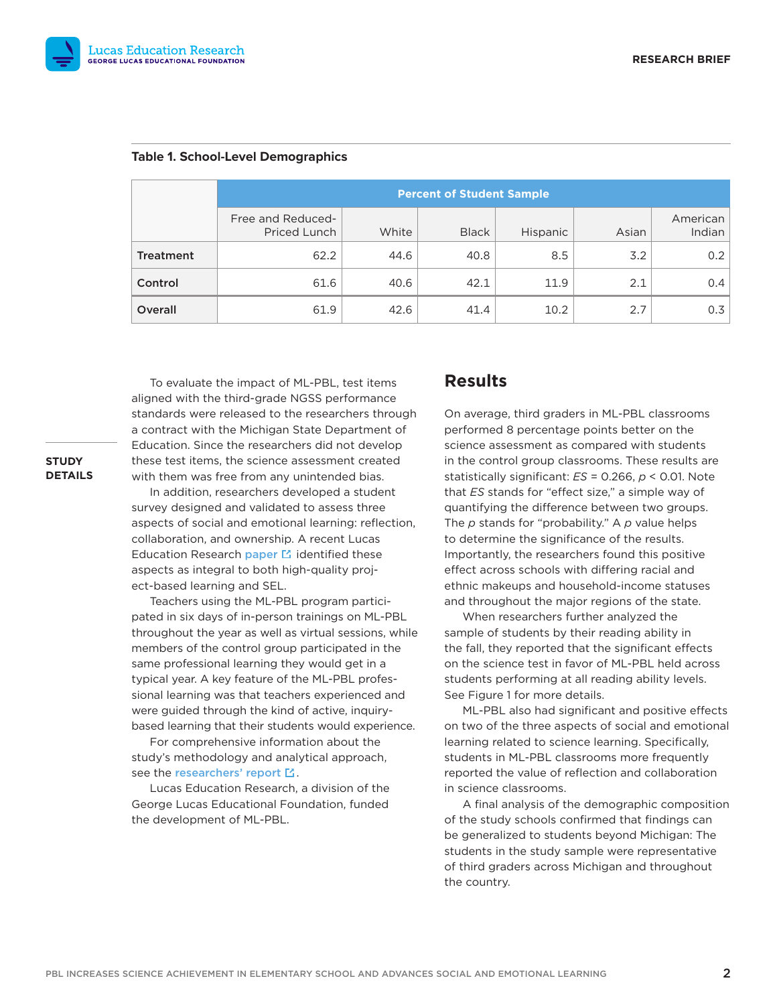

|                  | <b>Percent of Student Sample</b>  |       |              |          |       |                    |
|------------------|-----------------------------------|-------|--------------|----------|-------|--------------------|
|                  | Free and Reduced-<br>Priced Lunch | White | <b>Black</b> | Hispanic | Asian | American<br>Indian |
| <b>Treatment</b> | 62.2                              | 44.6  | 40.8         | 8.5      | 3.2   | 0.2                |
| Control          | 61.6                              | 40.6  | 42.1         | 11.9     | 2.1   | 0.4                |
| Overall          | 61.9                              | 42.6  | 41.4         | 10.2     | 2.7   | 0.3                |

#### **Table 1. School-Level Demographics**

To evaluate the impact of ML-PBL, test items aligned with the third-grade NGSS performance standards were released to the researchers through a contract with the Michigan State Department of Education. Since the researchers did not develop these test items, the science assessment created with them was free from any unintended bias.

## **STUDY DETAILS**

In addition, researchers developed a student survey designed and validated to assess three aspects of social and emotional learning: reflection, collaboration, and ownership. A recent Lucas Education Research paper  $\Xi$  identified these aspects as integral to both high-quality project-based learning and SEL.

Teachers using the ML-PBL program participated in six days of in-person trainings on ML-PBL throughout the year as well as virtual sessions, while members of the control group participated in the same professional learning they would get in a typical year. A key feature of the ML-PBL professional learning was that teachers experienced and were guided through the kind of active, inquirybased learning that their students would experience.

For comprehensive information about the study's methodology and analytical approach, see the researchers' report  $\mathbb E$ .

Lucas Education Research, a division of the George Lucas Educational Foundation, funded the development of ML-PBL.

## **Results**

On average, third graders in ML-PBL classrooms performed 8 percentage points better on the science assessment as compared with students in the control group classrooms. These results are statistically significant: *ES* = 0.266, *p* < 0.01. Note that *ES* stands for "effect size," a simple way of quantifying the difference between two groups. The *p* stands for "probability." A *p* value helps to determine the significance of the results. Importantly, the researchers found this positive effect across schools with differing racial and ethnic makeups and household-income statuses and throughout the major regions of the state.

When researchers further analyzed the sample of students by their reading ability in the fall, they reported that the significant effects on the science test in favor of ML-PBL held across students performing at all reading ability levels. See Figure 1 for more details.

ML-PBL also had significant and positive effects on two of the three aspects of social and emotional learning related to science learning. Specifically, students in ML-PBL classrooms more frequently reported the value of reflection and collaboration in science classrooms.

A final analysis of the demographic composition of the study schools confirmed that findings can be generalized to students beyond Michigan: The students in the study sample were representative of third graders across Michigan and throughout the country.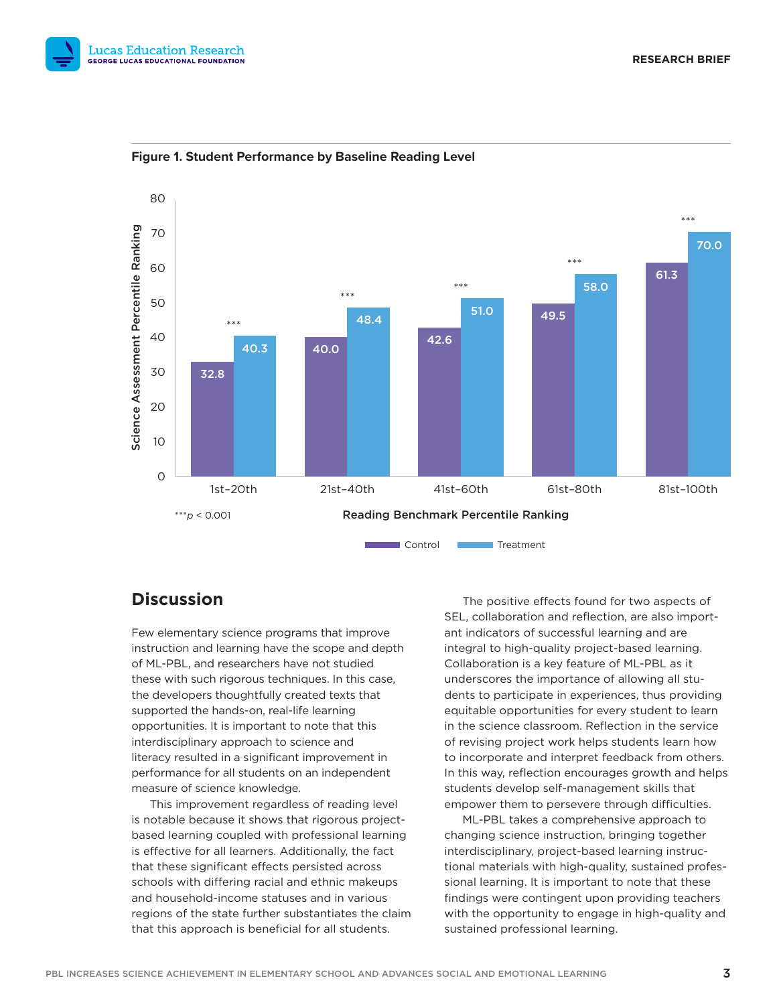



**Figure 1. Student Performance by Baseline Reading Level**

# **Discussion**

Few elementary science programs that improve instruction and learning have the scope and depth of ML-PBL, and researchers have not studied these with such rigorous techniques. In this case, the developers thoughtfully created texts that supported the hands-on, real-life learning opportunities. It is important to note that this interdisciplinary approach to science and literacy resulted in a significant improvement in performance for all students on an independent measure of science knowledge.

This improvement regardless of reading level is notable because it shows that rigorous projectbased learning coupled with professional learning is effective for all learners. Additionally, the fact that these significant effects persisted across schools with differing racial and ethnic makeups and household-income statuses and in various regions of the state further substantiates the claim that this approach is beneficial for all students.

The positive effects found for two aspects of SEL, collaboration and reflection, are also important indicators of successful learning and are integral to high-quality project-based learning. Collaboration is a key feature of ML-PBL as it underscores the importance of allowing all students to participate in experiences, thus providing equitable opportunities for every student to learn in the science classroom. Reflection in the service of revising project work helps students learn how to incorporate and interpret feedback from others. In this way, reflection encourages growth and helps students develop self-management skills that empower them to persevere through difficulties.

ML-PBL takes a comprehensive approach to changing science instruction, bringing together interdisciplinary, project-based learning instructional materials with high-quality, sustained professional learning. It is important to note that these findings were contingent upon providing teachers with the opportunity to engage in high-quality and sustained professional learning.